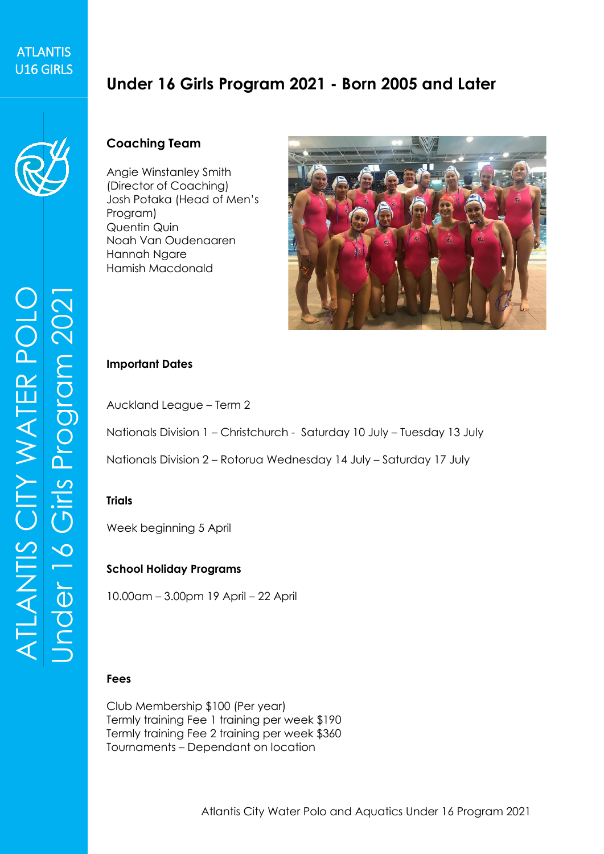## **ATLANTIS** ATLANTIS<br>U16 GIRLS

# **Under 16 Girls Program 2021 - Born 2005 and Later**



#### **Coaching Team**

Angie Winstanley Smith (Director of Coaching) Josh Potaka (Head of Men's Program) Quentin Quin Noah Van Oudenaaren Hannah Ngare Hamish Macdonald



#### **Important Dates**

Auckland League – Term 2

Nationals Division 1 – Christchurch - Saturday 10 July – Tuesday 13 July

Nationals Division 2 – Rotorua Wednesday 14 July – Saturday 17 July

#### **Trials**

Week beginning 5 April

#### **School Holiday Programs**

10.00am – 3.00pm 19 April – 22 April

#### **Fees**

Club Membership \$100 (Per year) Termly training Fee 1 training per week \$190 Termly training Fee 2 training per week \$360 Tournaments – Dependant on location